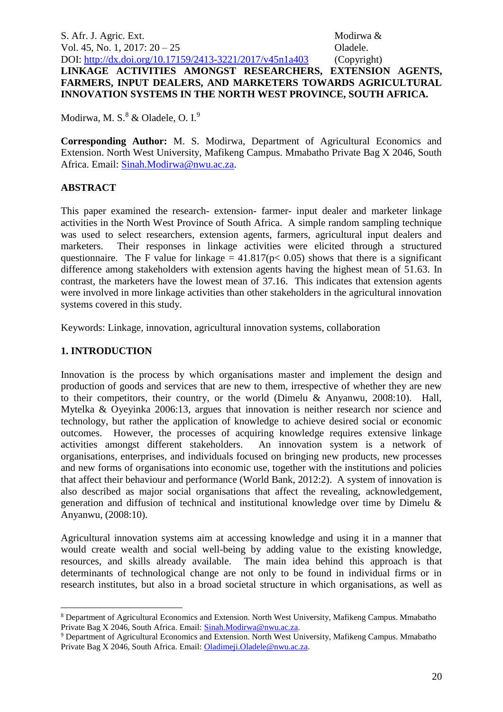S. Afr. J. Agric. Ext. Modirwa & Vol. 45, No. 1, 2017: 20 – 25 **Oladele.** DOI:<http://dx.doi.org/10.17159/2413-3221/2017/v45n1a403> (Copyright) **LINKAGE ACTIVITIES AMONGST RESEARCHERS, EXTENSION AGENTS, FARMERS, INPUT DEALERS, AND MARKETERS TOWARDS AGRICULTURAL INNOVATION SYSTEMS IN THE NORTH WEST PROVINCE, SOUTH AFRICA.**

Modirwa, M. S.<sup>8</sup> & Oladele, O. I.<sup>9</sup>

**Corresponding Author:** M. S. Modirwa, Department of Agricultural Economics and Extension. North West University, Mafikeng Campus. Mmabatho Private Bag X 2046, South Africa. Email: [Sinah.Modirwa@nwu.ac.za.](mailto:Sinah.Modirwa@nwu.ac.za)

## **ABSTRACT**

This paper examined the research- extension- farmer- input dealer and marketer linkage activities in the North West Province of South Africa. A simple random sampling technique was used to select researchers, extension agents, farmers, agricultural input dealers and marketers. Their responses in linkage activities were elicited through a structured questionnaire. The F value for linkage =  $41.817(p< 0.05)$  shows that there is a significant difference among stakeholders with extension agents having the highest mean of 51.63. In contrast, the marketers have the lowest mean of 37.16. This indicates that extension agents were involved in more linkage activities than other stakeholders in the agricultural innovation systems covered in this study.

Keywords: Linkage, innovation, agricultural innovation systems, collaboration

## **1. INTRODUCTION**

1

Innovation is the process by which organisations master and implement the design and production of goods and services that are new to them, irrespective of whether they are new to their competitors, their country, or the world (Dimelu & Anyanwu, 2008:10). Hall, Mytelka & Oyeyinka 2006:13, argues that innovation is neither research nor science and technology, but rather the application of knowledge to achieve desired social or economic outcomes. However, the processes of acquiring knowledge requires extensive linkage activities amongst different stakeholders. An innovation system is a network of organisations, enterprises, and individuals focused on bringing new products, new processes and new forms of organisations into economic use, together with the institutions and policies that affect their behaviour and performance (World Bank, 2012:2). A system of innovation is also described as major social organisations that affect the revealing, acknowledgement, generation and diffusion of technical and institutional knowledge over time by Dimelu & Anyanwu, (2008:10).

Agricultural innovation systems aim at accessing knowledge and using it in a manner that would create wealth and social well-being by adding value to the existing knowledge, resources, and skills already available. The main idea behind this approach is that determinants of technological change are not only to be found in individual firms or in research institutes, but also in a broad societal structure in which organisations, as well as

<sup>8</sup> Department of Agricultural Economics and Extension. North West University, Mafikeng Campus. Mmabatho Private Bag X 2046, South Africa. Email[: Sinah.Modirwa@nwu.ac.za.](mailto:Sinah.Modirwa@nwu.ac.za)

<sup>&</sup>lt;sup>9</sup> Department of Agricultural Economics and Extension. North West University, Mafikeng Campus. Mmabatho Private Bag X 2046, South Africa. Email[: Oladimeji.Oladele@nwu.ac.za.](mailto:Oladimeji.Oladele@nwu.ac.za)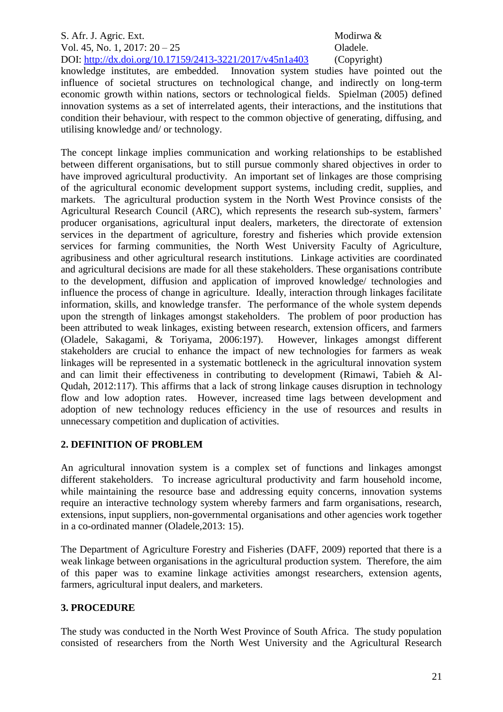## S. Afr. J. Agric. Ext. Modirwa & Vol. 45, No. 1, 2017: 20 – 25 Oladele. DOI:<http://dx.doi.org/10.17159/2413-3221/2017/v45n1a403> (Copyright)

knowledge institutes, are embedded. Innovation system studies have pointed out the influence of societal structures on technological change, and indirectly on long-term economic growth within nations, sectors or technological fields. Spielman (2005) defined innovation systems as a set of interrelated agents, their interactions, and the institutions that condition their behaviour, with respect to the common objective of generating, diffusing, and utilising knowledge and/ or technology.

The concept linkage implies communication and working relationships to be established between different organisations, but to still pursue commonly shared objectives in order to have improved agricultural productivity. An important set of linkages are those comprising of the agricultural economic development support systems, including credit, supplies, and markets. The agricultural production system in the North West Province consists of the Agricultural Research Council (ARC), which represents the research sub-system, farmers' producer organisations, agricultural input dealers, marketers, the directorate of extension services in the department of agriculture, forestry and fisheries which provide extension services for farming communities, the North West University Faculty of Agriculture, agribusiness and other agricultural research institutions. Linkage activities are coordinated and agricultural decisions are made for all these stakeholders. These organisations contribute to the development, diffusion and application of improved knowledge/ technologies and influence the process of change in agriculture. Ideally, interaction through linkages facilitate information, skills, and knowledge transfer. The performance of the whole system depends upon the strength of linkages amongst stakeholders. The problem of poor production has been attributed to weak linkages, existing between research, extension officers, and farmers (Oladele, Sakagami, & Toriyama, 2006:197). However, linkages amongst different stakeholders are crucial to enhance the impact of new technologies for farmers as weak linkages will be represented in a systematic bottleneck in the agricultural innovation system and can limit their effectiveness in contributing to development (Rimawi, Tabieh & Al-Qudah, 2012:117). This affirms that a lack of strong linkage causes disruption in technology flow and low adoption rates. However, increased time lags between development and adoption of new technology reduces efficiency in the use of resources and results in unnecessary competition and duplication of activities.

# **2. DEFINITION OF PROBLEM**

An agricultural innovation system is a complex set of functions and linkages amongst different stakeholders. To increase agricultural productivity and farm household income, while maintaining the resource base and addressing equity concerns, innovation systems require an interactive technology system whereby farmers and farm organisations, research, extensions, input suppliers, non-governmental organisations and other agencies work together in a co-ordinated manner (Oladele,2013: 15).

The Department of Agriculture Forestry and Fisheries (DAFF, 2009) reported that there is a weak linkage between organisations in the agricultural production system. Therefore, the aim of this paper was to examine linkage activities amongst researchers, extension agents, farmers, agricultural input dealers, and marketers.

# **3. PROCEDURE**

The study was conducted in the North West Province of South Africa. The study population consisted of researchers from the North West University and the Agricultural Research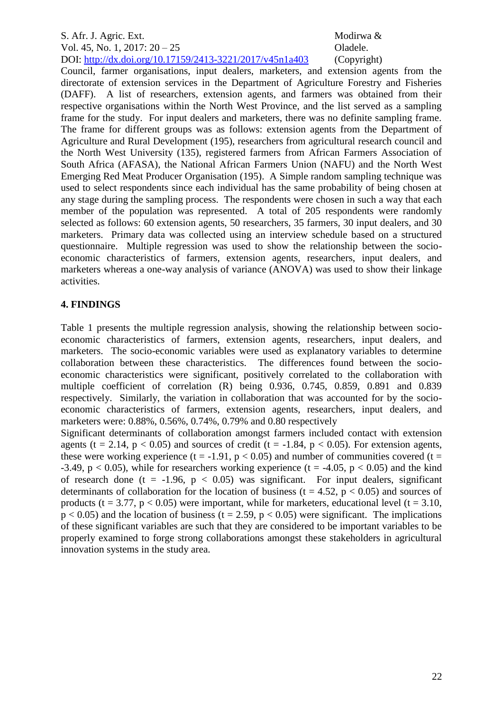## S. Afr. J. Agric. Ext. Modirwa & Vol. 45, No. 1, 2017: 20 – 25 **Oladele.** DOI:<http://dx.doi.org/10.17159/2413-3221/2017/v45n1a403> (Copyright)

Council, farmer organisations, input dealers, marketers, and extension agents from the directorate of extension services in the Department of Agriculture Forestry and Fisheries (DAFF). A list of researchers, extension agents, and farmers was obtained from their respective organisations within the North West Province, and the list served as a sampling frame for the study. For input dealers and marketers, there was no definite sampling frame. The frame for different groups was as follows: extension agents from the Department of Agriculture and Rural Development (195), researchers from agricultural research council and the North West University (135), registered farmers from African Farmers Association of South Africa (AFASA), the National African Farmers Union (NAFU) and the North West Emerging Red Meat Producer Organisation (195). A Simple random sampling technique was used to select respondents since each individual has the same probability of being chosen at any stage during the sampling process. The respondents were chosen in such a way that each member of the population was represented. A total of 205 respondents were randomly selected as follows: 60 extension agents, 50 researchers, 35 farmers, 30 input dealers, and 30 marketers. Primary data was collected using an interview schedule based on a structured questionnaire. Multiple regression was used to show the relationship between the socioeconomic characteristics of farmers, extension agents, researchers, input dealers, and marketers whereas a one-way analysis of variance (ANOVA) was used to show their linkage activities.

# **4. FINDINGS**

Table 1 presents the multiple regression analysis, showing the relationship between socioeconomic characteristics of farmers, extension agents, researchers, input dealers, and marketers. The socio-economic variables were used as explanatory variables to determine collaboration between these characteristics. The differences found between the socioeconomic characteristics were significant, positively correlated to the collaboration with multiple coefficient of correlation (R) being 0.936, 0.745, 0.859, 0.891 and 0.839 respectively. Similarly, the variation in collaboration that was accounted for by the socioeconomic characteristics of farmers, extension agents, researchers, input dealers, and marketers were: 0.88%, 0.56%, 0.74%, 0.79% and 0.80 respectively

Significant determinants of collaboration amongst farmers included contact with extension agents (t = 2.14,  $p < 0.05$ ) and sources of credit (t = -1.84,  $p < 0.05$ ). For extension agents, these were working experience (t = -1.91,  $p < 0.05$ ) and number of communities covered (t = -3.49,  $p < 0.05$ ), while for researchers working experience (t = -4.05,  $p < 0.05$ ) and the kind of research done (t = -1.96,  $p < 0.05$ ) was significant. For input dealers, significant determinants of collaboration for the location of business ( $t = 4.52$ ,  $p < 0.05$ ) and sources of products (t = 3.77, p < 0.05) were important, while for marketers, educational level (t = 3.10,  $p < 0.05$ ) and the location of business (t = 2.59, p < 0.05) were significant. The implications of these significant variables are such that they are considered to be important variables to be properly examined to forge strong collaborations amongst these stakeholders in agricultural innovation systems in the study area.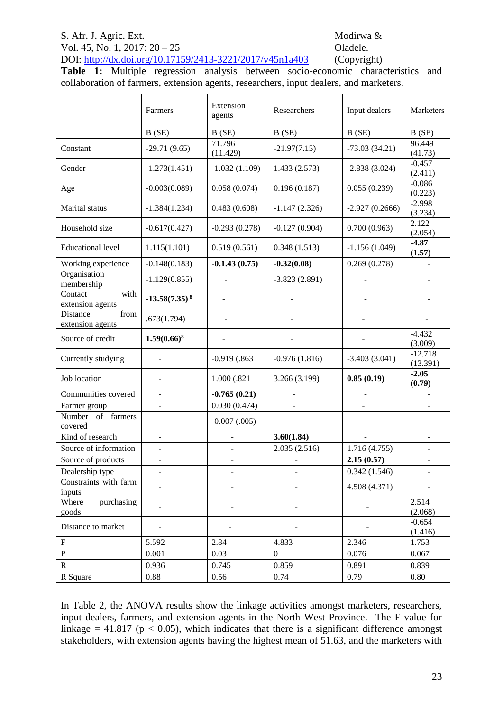# S. Afr. J. Agric. Ext. Modirwa &

## Vol. 45, No. 1, 2017: 20 – 25 **Oladele.** DOI:<http://dx.doi.org/10.17159/2413-3221/2017/v45n1a403> (Copyright)

**Table 1:** Multiple regression analysis between socio-economic characteristics and collaboration of farmers, extension agents, researchers, input dealers, and marketers.

|                                      | Farmers                  | Extension<br>agents             | Researchers                     | Input dealers    | Marketers                       |
|--------------------------------------|--------------------------|---------------------------------|---------------------------------|------------------|---------------------------------|
|                                      | B(SE)                    | B(SE)                           | B(SE)                           | B(SE)            | B(SE)                           |
| Constant                             | $-29.71(9.65)$           | 71.796<br>(11.429)              | $-21.97(7.15)$                  | $-73.03(34.21)$  | 96.449<br>(41.73)               |
| Gender                               | $-1.273(1.451)$          | $-1.032(1.109)$<br>1.433(2.573) |                                 | $-2.838(3.024)$  | $-0.457$<br>(2.411)             |
| Age                                  | $-0.003(0.089)$          | 0.058(0.074)                    | 0.196(0.187)                    | 0.055(0.239)     | $-0.086$<br>(0.223)<br>$-2.998$ |
| Marital status                       | $-1.384(1.234)$          | 0.483(0.608)                    | $-1.147(2.326)$                 | $-2.927(0.2666)$ |                                 |
| Household size                       | $-0.617(0.427)$          | $-0.293(0.278)$                 | $-0.127(0.904)$                 | 0.700(0.963)     |                                 |
| <b>Educational level</b>             | 1.115(1.101)             | 0.519(0.561)                    | 0.348(1.513)<br>$-1.156(1.049)$ |                  | $-4.87$<br>(1.57)               |
| Working experience                   | $-0.148(0.183)$          | $-0.1.43(0.75)$                 | $-0.32(0.08)$                   | 0.269(0.278)     |                                 |
| Organisation<br>membership           | $-1.129(0.855)$          |                                 | $-3.823(2.891)$                 |                  |                                 |
| with<br>Contact<br>extension agents  | $-13.58(7.35)^8$         |                                 |                                 |                  |                                 |
| Distance<br>from<br>extension agents | .673(1.794)              |                                 |                                 |                  |                                 |
| Source of credit                     | $1.59(0.66)^8$           |                                 |                                 |                  | $-4.432$<br>(3.009)             |
| Currently studying                   |                          | $-0.919$ $(.863)$               | $-0.976(1.816)$                 | $-3.403(3.041)$  | $-12.718$<br>(13.391)           |
| Job location                         |                          | 1.000 (.821                     | 0.85(0.19)<br>3.266 (3.199)     |                  | $-2.05$<br>(0.79)               |
| Communities covered                  | $\overline{\phantom{0}}$ | $-0.765(0.21)$                  |                                 |                  |                                 |
| Farmer group                         | ÷,                       | 0.030(0.474)                    |                                 |                  |                                 |
| Number of farmers<br>covered         |                          | $-0.007$ $(.005)$               |                                 |                  |                                 |
| Kind of research                     | ÷,                       |                                 | 3.60(1.84)                      | $\overline{a}$   | Ξ.                              |
| Source of information                |                          |                                 | 2.035(2.516)                    | 1.716(4.755)     |                                 |
| Source of products                   | ÷,                       | $\overline{\phantom{0}}$        |                                 | 2.15(0.57)       | $\overline{\phantom{m}}$        |
| Dealership type                      |                          |                                 |                                 | 0.342(1.546)     |                                 |
| Constraints with farm<br>inputs      |                          |                                 |                                 | 4.508 (4.371)    |                                 |
| Where<br>purchasing<br>goods         |                          |                                 |                                 |                  | 2.514<br>(2.068)                |
| Distance to market                   |                          |                                 |                                 |                  | $-0.654$<br>(1.416)             |
| $\mathbf F$                          | 5.592                    | 2.84                            | 4.833                           | 2.346            | 1.753                           |
| ${\bf P}$                            | 0.001                    | 0.03                            | $\overline{0}$                  | 0.076            | 0.067                           |
| ${\bf R}$                            | 0.936                    | 0.745                           | 0.859                           | 0.891            | 0.839                           |
| R Square                             | 0.88                     | 0.56                            | 0.74                            | 0.79             | 0.80                            |

In Table 2, the ANOVA results show the linkage activities amongst marketers, researchers, input dealers, farmers, and extension agents in the North West Province. The F value for linkage = 41.817 ( $p < 0.05$ ), which indicates that there is a significant difference amongst stakeholders, with extension agents having the highest mean of 51.63, and the marketers with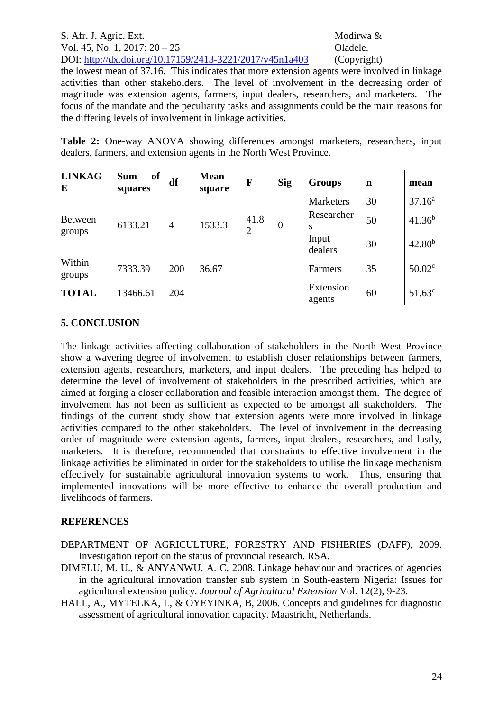## S. Afr. J. Agric. Ext. Modirwa & Vol. 45, No. 1, 2017: 20 – 25 **Oladele.** DOI:<http://dx.doi.org/10.17159/2413-3221/2017/v45n1a403> (Copyright)

the lowest mean of 37.16. This indicates that more extension agents were involved in linkage activities than other stakeholders. The level of involvement in the decreasing order of magnitude was extension agents, farmers, input dealers, researchers, and marketers. The focus of the mandate and the peculiarity tasks and assignments could be the main reasons for the differing levels of involvement in linkage activities.

**Table 2:** One-way ANOVA showing differences amongst marketers, researchers, input dealers, farmers, and extension agents in the North West Province.

| <b>LINKAG</b><br>E       | of<br><b>Sum</b><br>squares | df             | <b>Mean</b><br>square | $\mathbf{F}$           | <b>Sig</b> | <b>Groups</b>       | n  | mean               |
|--------------------------|-----------------------------|----------------|-----------------------|------------------------|------------|---------------------|----|--------------------|
| <b>Between</b><br>groups | 6133.21                     | $\overline{4}$ | 1533.3                | 41.8<br>$\overline{2}$ | $\theta$   | <b>Marketers</b>    | 30 | 37.16 <sup>a</sup> |
|                          |                             |                |                       |                        |            | Researcher<br>S     | 50 | $41.36^{b}$        |
|                          |                             |                |                       |                        |            | Input<br>dealers    | 30 | $42.80^{b}$        |
| Within<br>groups         | 7333.39                     | 200            | 36.67                 |                        |            | Farmers             | 35 | 50.02 <sup>c</sup> |
| <b>TOTAL</b>             | 13466.61                    | 204            |                       |                        |            | Extension<br>agents | 60 | $51.63^c$          |

## **5. CONCLUSION**

The linkage activities affecting collaboration of stakeholders in the North West Province show a wavering degree of involvement to establish closer relationships between farmers, extension agents, researchers, marketers, and input dealers. The preceding has helped to determine the level of involvement of stakeholders in the prescribed activities, which are aimed at forging a closer collaboration and feasible interaction amongst them. The degree of involvement has not been as sufficient as expected to be amongst all stakeholders. The findings of the current study show that extension agents were more involved in linkage activities compared to the other stakeholders. The level of involvement in the decreasing order of magnitude were extension agents, farmers, input dealers, researchers, and lastly, marketers. It is therefore, recommended that constraints to effective involvement in the linkage activities be eliminated in order for the stakeholders to utilise the linkage mechanism effectively for sustainable agricultural innovation systems to work. Thus, ensuring that implemented innovations will be more effective to enhance the overall production and livelihoods of farmers.

## **REFERENCES**

- DEPARTMENT OF AGRICULTURE, FORESTRY AND FISHERIES (DAFF), 2009. Investigation report on the status of provincial research. RSA.
- DIMELU, M. U., & ANYANWU, A. C, 2008. Linkage behaviour and practices of agencies in the agricultural innovation transfer sub system in South-eastern Nigeria: Issues for agricultural extension policy. *Journal of Agricultural Extension* Vol. 12(2), 9-23.
- HALL, A., MYTELKA, L, & OYEYINKA, B, 2006. Concepts and guidelines for diagnostic assessment of agricultural innovation capacity. Maastricht, Netherlands.